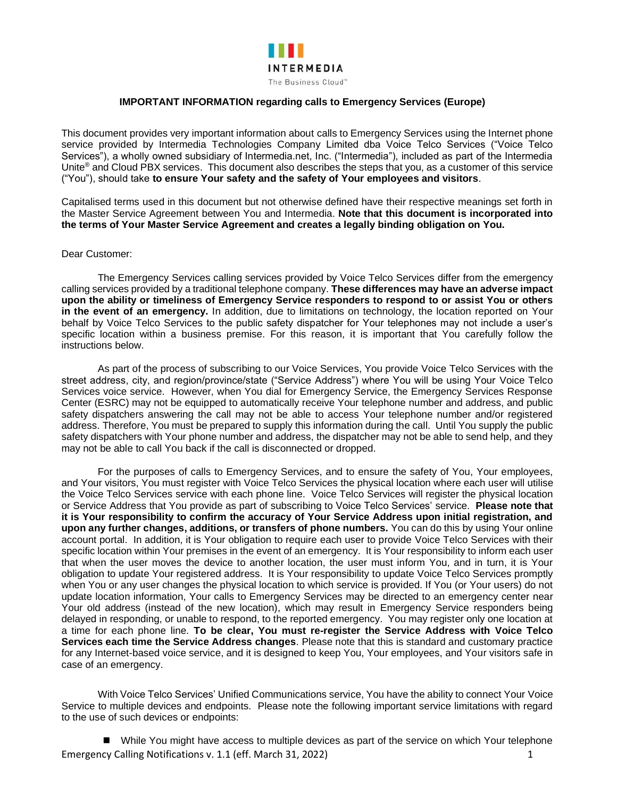

## **IMPORTANT INFORMATION regarding calls to Emergency Services (Europe)**

This document provides very important information about calls to Emergency Services using the Internet phone service provided by Intermedia Technologies Company Limited dba Voice Telco Services ("Voice Telco Services"), a wholly owned subsidiary of Intermedia.net, Inc. ("Intermedia"), included as part of the Intermedia Unite® and Cloud PBX services. This document also describes the steps that you, as a customer of this service ("You"), should take **to ensure Your safety and the safety of Your employees and visitors**.

Capitalised terms used in this document but not otherwise defined have their respective meanings set forth in the Master Service Agreement between You and Intermedia. **Note that this document is incorporated into the terms of Your Master Service Agreement and creates a legally binding obligation on You.**

## Dear Customer:

The Emergency Services calling services provided by Voice Telco Services differ from the emergency calling services provided by a traditional telephone company. **These differences may have an adverse impact upon the ability or timeliness of Emergency Service responders to respond to or assist You or others in the event of an emergency.** In addition, due to limitations on technology, the location reported on Your behalf by Voice Telco Services to the public safety dispatcher for Your telephones may not include a user's specific location within a business premise. For this reason, it is important that You carefully follow the instructions below.

As part of the process of subscribing to our Voice Services, You provide Voice Telco Services with the street address, city, and region/province/state ("Service Address") where You will be using Your Voice Telco Services voice service. However, when You dial for Emergency Service, the Emergency Services Response Center (ESRC) may not be equipped to automatically receive Your telephone number and address, and public safety dispatchers answering the call may not be able to access Your telephone number and/or registered address. Therefore, You must be prepared to supply this information during the call. Until You supply the public safety dispatchers with Your phone number and address, the dispatcher may not be able to send help, and they may not be able to call You back if the call is disconnected or dropped.

For the purposes of calls to Emergency Services, and to ensure the safety of You, Your employees, and Your visitors, You must register with Voice Telco Services the physical location where each user will utilise the Voice Telco Services service with each phone line. Voice Telco Services will register the physical location or Service Address that You provide as part of subscribing to Voice Telco Services' service. **Please note that it is Your responsibility to confirm the accuracy of Your Service Address upon initial registration, and upon any further changes, additions, or transfers of phone numbers.** You can do this by using Your online account portal. In addition, it is Your obligation to require each user to provide Voice Telco Services with their specific location within Your premises in the event of an emergency. It is Your responsibility to inform each user that when the user moves the device to another location, the user must inform You, and in turn, it is Your obligation to update Your registered address. It is Your responsibility to update Voice Telco Services promptly when You or any user changes the physical location to which service is provided. If You (or Your users) do not update location information, Your calls to Emergency Services may be directed to an emergency center near Your old address (instead of the new location), which may result in Emergency Service responders being delayed in responding, or unable to respond, to the reported emergency. You may register only one location at a time for each phone line. **To be clear, You must re-register the Service Address with Voice Telco Services each time the Service Address changes**. Please note that this is standard and customary practice for any Internet-based voice service, and it is designed to keep You, Your employees, and Your visitors safe in case of an emergency.

With Voice Telco Services' Unified Communications service, You have the ability to connect Your Voice Service to multiple devices and endpoints. Please note the following important service limitations with regard to the use of such devices or endpoints:

Emergency Calling Notifications v. 1.1 (eff. March 31, 2022) 1 ■ While You might have access to multiple devices as part of the service on which Your telephone